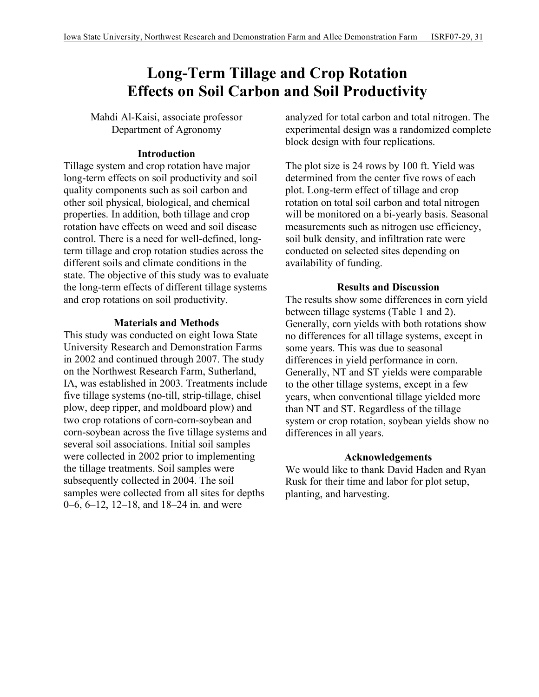# **Long-Term Tillage and Crop Rotation Effects on Soil Carbon and Soil Productivity**

Mahdi Al-Kaisi, associate professor Department of Agronomy

### **Introduction**

Tillage system and crop rotation have major long-term effects on soil productivity and soil quality components such as soil carbon and other soil physical, biological, and chemical properties. In addition, both tillage and crop rotation have effects on weed and soil disease control. There is a need for well-defined, longterm tillage and crop rotation studies across the different soils and climate conditions in the state. The objective of this study was to evaluate the long-term effects of different tillage systems and crop rotations on soil productivity.

#### **Materials and Methods**

This study was conducted on eight Iowa State University Research and Demonstration Farms in 2002 and continued through 2007. The study on the Northwest Research Farm, Sutherland, IA, was established in 2003. Treatments include five tillage systems (no-till, strip-tillage, chisel plow, deep ripper, and moldboard plow) and two crop rotations of corn-corn-soybean and corn-soybean across the five tillage systems and several soil associations. Initial soil samples were collected in 2002 prior to implementing the tillage treatments. Soil samples were subsequently collected in 2004. The soil samples were collected from all sites for depths 0–6, 6–12, 12–18, and 18–24 in. and were

analyzed for total carbon and total nitrogen. The experimental design was a randomized complete block design with four replications.

The plot size is 24 rows by 100 ft. Yield was determined from the center five rows of each plot. Long-term effect of tillage and crop rotation on total soil carbon and total nitrogen will be monitored on a bi-yearly basis. Seasonal measurements such as nitrogen use efficiency, soil bulk density, and infiltration rate were conducted on selected sites depending on availability of funding.

#### **Results and Discussion**

The results show some differences in corn yield between tillage systems (Table 1 and 2). Generally, corn yields with both rotations show no differences for all tillage systems, except in some years. This was due to seasonal differences in yield performance in corn. Generally, NT and ST yields were comparable to the other tillage systems, except in a few years, when conventional tillage yielded more than NT and ST. Regardless of the tillage system or crop rotation, soybean yields show no differences in all years.

## **Acknowledgements**

We would like to thank David Haden and Ryan Rusk for their time and labor for plot setup, planting, and harvesting.